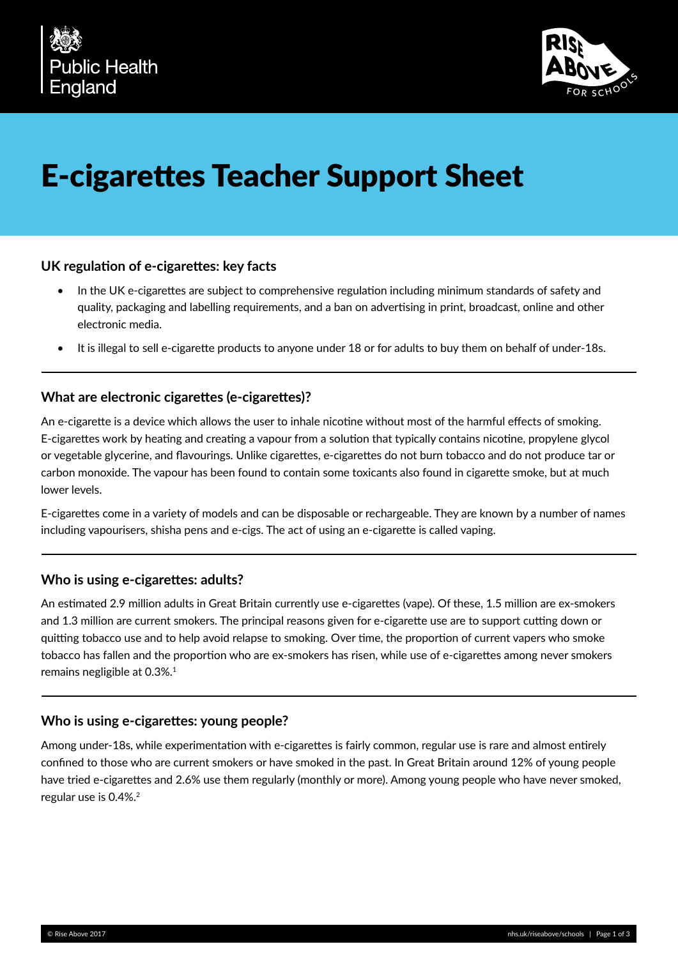



# E-cigarettes Teacher Support Sheet

## **UK regulation of e-cigarettes: key facts**

- In the UK e-cigarettes are subject to comprehensive regulation including minimum standards of safety and quality, packaging and labelling requirements, and a ban on advertising in print, broadcast, online and other electronic media.
- It is illegal to sell e-cigarette products to anyone under 18 or for adults to buy them on behalf of under-18s.

## **What are electronic cigarettes (e-cigarettes)?**

An e-cigarette is a device which allows the user to inhale nicotine without most of the harmful effects of smoking. E-cigarettes work by heating and creating a vapour from a solution that typically contains nicotine, propylene glycol or vegetable glycerine, and flavourings. Unlike cigarettes, e-cigarettes do not burn tobacco and do not produce tar or carbon monoxide. The vapour has been found to contain some toxicants also found in cigarette smoke, but at much lower levels.

E-cigarettes come in a variety of models and can be disposable or rechargeable. They are known by a number of names including vapourisers, shisha pens and e-cigs. The act of using an e-cigarette is called vaping.

#### **Who is using e-cigarettes: adults?**

An estimated 2.9 million adults in Great Britain currently use e-cigarettes (vape). Of these, 1.5 million are ex-smokers and 1.3 million are current smokers. The principal reasons given for e-cigarette use are to support cutting down or quitting tobacco use and to help avoid relapse to smoking. Over time, the proportion of current vapers who smoke tobacco has fallen and the proportion who are ex-smokers has risen, while use of e-cigarettes among never smokers remains negligible at 0.3%.<sup>1</sup>

#### **Who is using e-cigarettes: young people?**

Among under-18s, while experimentation with e-cigarettes is fairly common, regular use is rare and almost entirely confined to those who are current smokers or have smoked in the past. In Great Britain around 12% of young people have tried e-cigarettes and 2.6% use them regularly (monthly or more). Among young people who have never smoked, regular use is 0.4%.2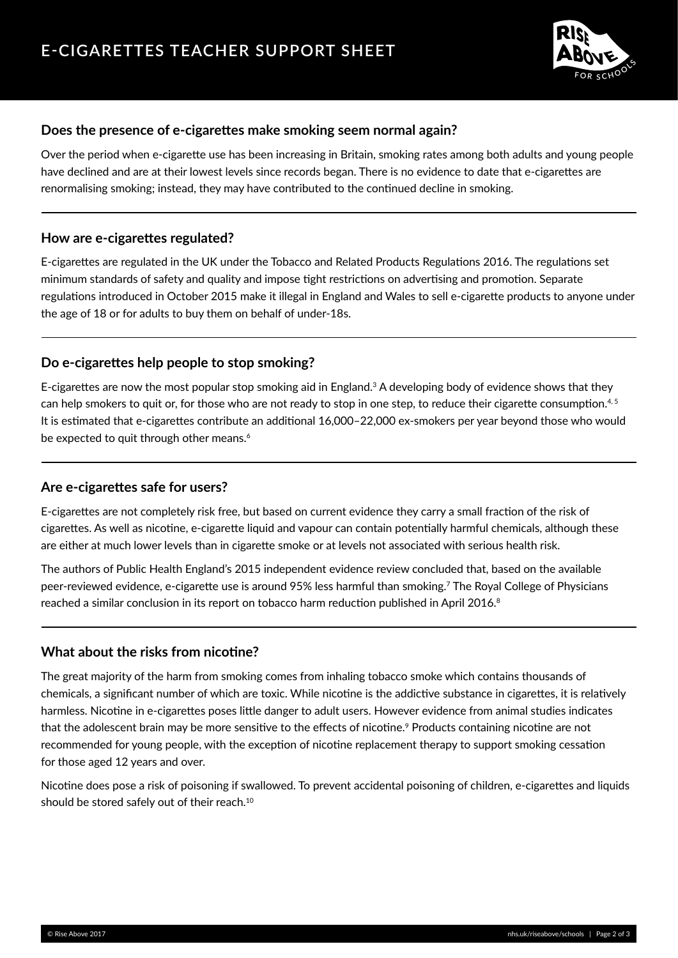

# **Does the presence of e-cigarettes make smoking seem normal again?**

Over the period when e-cigarette use has been increasing in Britain, smoking rates among both adults and young people have declined and are at their lowest levels since records began. There is no evidence to date that e-cigarettes are renormalising smoking; instead, they may have contributed to the continued decline in smoking.

#### **How are e-cigarettes regulated?**

E-cigarettes are regulated in the UK under the Tobacco and Related Products Regulations 2016. The regulations set minimum standards of safety and quality and impose tight restrictions on advertising and promotion. Separate regulations introduced in October 2015 make it illegal in England and Wales to sell e-cigarette products to anyone under the age of 18 or for adults to buy them on behalf of under-18s.

## **Do e-cigarettes help people to stop smoking?**

E-cigarettes are now the most popular stop smoking aid in England.3 A developing body of evidence shows that they can help smokers to quit or, for those who are not ready to stop in one step, to reduce their cigarette consumption.<sup>4, 5</sup> It is estimated that e-cigarettes contribute an additional 16,000–22,000 ex-smokers per year beyond those who would be expected to quit through other means.<sup>6</sup>

#### **Are e-cigarettes safe for users?**

E-cigarettes are not completely risk free, but based on current evidence they carry a small fraction of the risk of cigarettes. As well as nicotine, e-cigarette liquid and vapour can contain potentially harmful chemicals, although these are either at much lower levels than in cigarette smoke or at levels not associated with serious health risk.

The authors of Public Health England's 2015 independent evidence review concluded that, based on the available peer-reviewed evidence, e-cigarette use is around 95% less harmful than smoking.7 The Royal College of Physicians reached a similar conclusion in its report on tobacco harm reduction published in April 2016.<sup>8</sup>

# **What about the risks from nicotine?**

The great majority of the harm from smoking comes from inhaling tobacco smoke which contains thousands of chemicals, a significant number of which are toxic. While nicotine is the addictive substance in cigarettes, it is relatively harmless. Nicotine in e-cigarettes poses little danger to adult users. However evidence from animal studies indicates that the adolescent brain may be more sensitive to the effects of nicotine.<sup>9</sup> Products containing nicotine are not recommended for young people, with the exception of nicotine replacement therapy to support smoking cessation for those aged 12 years and over.

Nicotine does pose a risk of poisoning if swallowed. To prevent accidental poisoning of children, e-cigarettes and liquids should be stored safely out of their reach.<sup>10</sup>